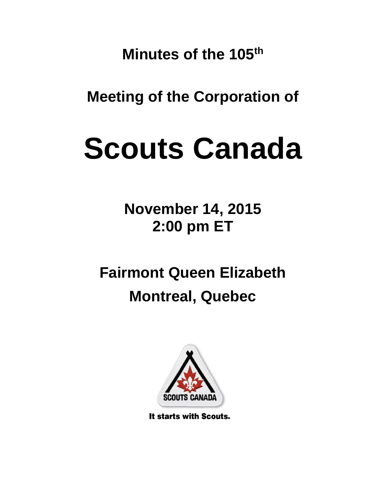**Minutes of the 105 th**

**Meeting of the Corporation of**

# **Scouts Canada**

**November 14, 2015 2:00 pm ET**

**Fairmont Queen Elizabeth Montreal, Quebec**



It starts with Scouts.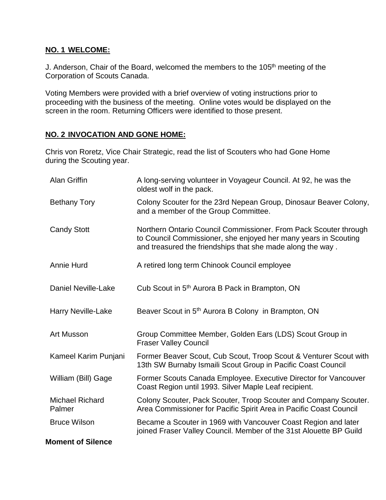### **NO. 1 WELCOME:**

J. Anderson, Chair of the Board, welcomed the members to the 105<sup>th</sup> meeting of the Corporation of Scouts Canada.

Voting Members were provided with a brief overview of voting instructions prior to proceeding with the business of the meeting. Online votes would be displayed on the screen in the room. Returning Officers were identified to those present.

# **NO. 2 INVOCATION AND GONE HOME:**

Chris von Roretz, Vice Chair Strategic, read the list of Scouters who had Gone Home during the Scouting year.

| Alan Griffin                     | A long-serving volunteer in Voyageur Council. At 92, he was the<br>oldest wolf in the pack.                                                                                                       |
|----------------------------------|---------------------------------------------------------------------------------------------------------------------------------------------------------------------------------------------------|
| <b>Bethany Tory</b>              | Colony Scouter for the 23rd Nepean Group, Dinosaur Beaver Colony,<br>and a member of the Group Committee.                                                                                         |
| <b>Candy Stott</b>               | Northern Ontario Council Commissioner. From Pack Scouter through<br>to Council Commissioner, she enjoyed her many years in Scouting<br>and treasured the friendships that she made along the way. |
| <b>Annie Hurd</b>                | A retired long term Chinook Council employee                                                                                                                                                      |
| <b>Daniel Neville-Lake</b>       | Cub Scout in 5 <sup>th</sup> Aurora B Pack in Brampton, ON                                                                                                                                        |
| <b>Harry Neville-Lake</b>        | Beaver Scout in 5 <sup>th</sup> Aurora B Colony in Brampton, ON                                                                                                                                   |
| <b>Art Musson</b>                | Group Committee Member, Golden Ears (LDS) Scout Group in<br><b>Fraser Valley Council</b>                                                                                                          |
| Kameel Karim Punjani             | Former Beaver Scout, Cub Scout, Troop Scout & Venturer Scout with<br>13th SW Burnaby Ismaili Scout Group in Pacific Coast Council                                                                 |
| William (Bill) Gage              | Former Scouts Canada Employee. Executive Director for Vancouver<br>Coast Region until 1993. Silver Maple Leaf recipient.                                                                          |
| <b>Michael Richard</b><br>Palmer | Colony Scouter, Pack Scouter, Troop Scouter and Company Scouter.<br>Area Commissioner for Pacific Spirit Area in Pacific Coast Council                                                            |
| <b>Bruce Wilson</b>              | Became a Scouter in 1969 with Vancouver Coast Region and later<br>joined Fraser Valley Council. Member of the 31st Alouette BP Guild                                                              |
| <b>Moment of Silence</b>         |                                                                                                                                                                                                   |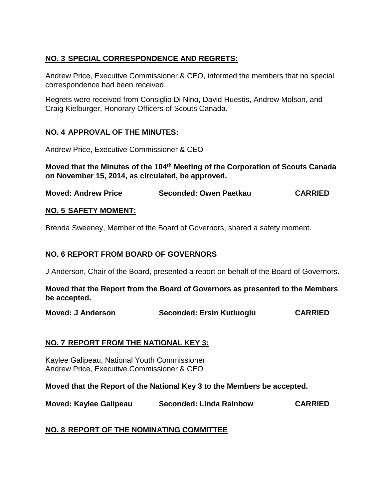# **NO. 3 SPECIAL CORRESPONDENCE AND REGRETS:**

Andrew Price, Executive Commissioner & CEO, informed the members that no special correspondence had been received.

Regrets were received from Consiglio Di Nino, David Huestis, Andrew Molson, and Craig Kielburger, Honorary Officers of Scouts Canada.

# **NO. 4 APPROVAL OF THE MINUTES:**

Andrew Price, Executive Commissioner & CEO

**Moved that the Minutes of the 104th Meeting of the Corporation of Scouts Canada on November 15, 2014, as circulated, be approved.**

**Moved: Andrew Price Seconded: Owen Paetkau CARRIED**

#### **NO. 5 SAFETY MOMENT:**

Brenda Sweeney, Member of the Board of Governors, shared a safety moment.

## **NO. 6 REPORT FROM BOARD OF GOVERNORS**

J Anderson, Chair of the Board, presented a report on behalf of the Board of Governors.

**Moved that the Report from the Board of Governors as presented to the Members be accepted.**

**Moved: J Anderson Seconded: Ersin Kutluoglu CARRIED**

#### **NO. 7 REPORT FROM THE NATIONAL KEY 3:**

Kaylee Galipeau, National Youth Commissioner Andrew Price, Executive Commissioner & CEO

**Moved that the Report of the National Key 3 to the Members be accepted.** 

**Moved: Kaylee Galipeau Seconded: Linda Rainbow CARRIED**

# **NO. 8 REPORT OF THE NOMINATING COMMITTEE**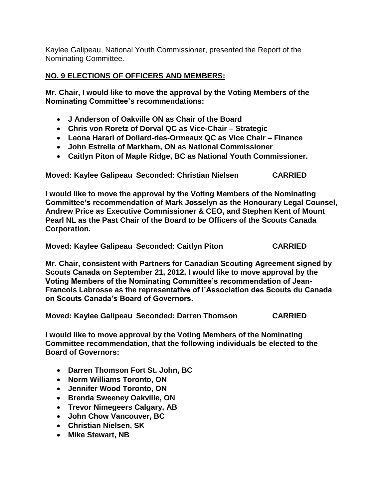Kaylee Galipeau, National Youth Commissioner, presented the Report of the Nominating Committee.

# **NO. 9 ELECTIONS OF OFFICERS AND MEMBERS:**

**Mr. Chair, I would like to move the approval by the Voting Members of the Nominating Committee's recommendations:**

- **J Anderson of Oakville ON as Chair of the Board**
- **Chris von Roretz of Dorval QC as Vice-Chair – Strategic**
- **Leona Harari of Dollard-des-Ormeaux QC as Vice Chair – Finance**
- **John Estrella of Markham, ON as National Commissioner**
- **Caitlyn Piton of Maple Ridge, BC as National Youth Commissioner.**

**Moved: Kaylee Galipeau Seconded: Christian Nielsen CARRIED**

**I would like to move the approval by the Voting Members of the Nominating Committee's recommendation of Mark Josselyn as the Honourary Legal Counsel, Andrew Price as Executive Commissioner & CEO, and Stephen Kent of Mount Pearl NL as the Past Chair of the Board to be Officers of the Scouts Canada Corporation.** 

**Moved: Kaylee Galipeau Seconded: Caitlyn Piton CARRIED**

**Mr. Chair, consistent with Partners for Canadian Scouting Agreement signed by Scouts Canada on September 21, 2012, I would like to move approval by the Voting Members of the Nominating Committee's recommendation of Jean-Francois Labrosse as the representative of l'Association des Scouts du Canada on Scouts Canada's Board of Governors.**

**Moved: Kaylee Galipeau Seconded: Darren Thomson CARRIED**

**I would like to move approval by the Voting Members of the Nominating Committee recommendation, that the following individuals be elected to the Board of Governors:**

- **Darren Thomson Fort St. John, BC**
- **Norm Williams Toronto, ON**
- **Jennifer Wood Toronto, ON**
- **Brenda Sweeney Oakville, ON**
- **Trevor Nimegeers Calgary, AB**
- **John Chow Vancouver, BC**
- **Christian Nielsen, SK**
- **Mike Stewart, NB**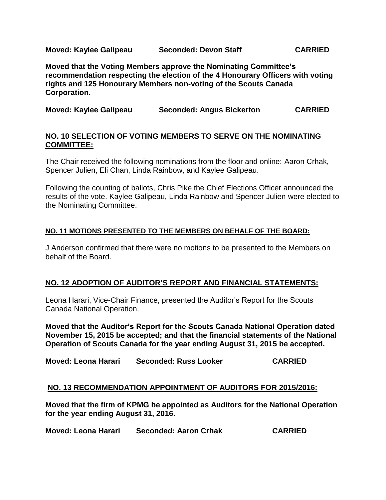**Moved: Kaylee Galipeau Seconded: Devon Staff CARRIED**

**Moved that the Voting Members approve the Nominating Committee's recommendation respecting the election of the 4 Honourary Officers with voting rights and 125 Honourary Members non-voting of the Scouts Canada Corporation.**

|  | Moved: Kaylee Galipeau | <b>Seconded: Angus Bickerton</b> | <b>CARRIED</b> |
|--|------------------------|----------------------------------|----------------|
|--|------------------------|----------------------------------|----------------|

#### **NO. 10 SELECTION OF VOTING MEMBERS TO SERVE ON THE NOMINATING COMMITTEE:**

The Chair received the following nominations from the floor and online: Aaron Crhak, Spencer Julien, Eli Chan, Linda Rainbow, and Kaylee Galipeau.

Following the counting of ballots, Chris Pike the Chief Elections Officer announced the results of the vote. Kaylee Galipeau, Linda Rainbow and Spencer Julien were elected to the Nominating Committee.

#### **NO. 11 MOTIONS PRESENTED TO THE MEMBERS ON BEHALF OF THE BOARD:**

J Anderson confirmed that there were no motions to be presented to the Members on behalf of the Board.

#### **NO. 12 ADOPTION OF AUDITOR'S REPORT AND FINANCIAL STATEMENTS:**

Leona Harari, Vice-Chair Finance, presented the Auditor's Report for the Scouts Canada National Operation.

**Moved that the Auditor's Report for the Scouts Canada National Operation dated November 15, 2015 be accepted; and that the financial statements of the National Operation of Scouts Canada for the year ending August 31, 2015 be accepted.**

**Moved: Leona Harari Seconded: Russ Looker CARRIED**

#### **NO. 13 RECOMMENDATION APPOINTMENT OF AUDITORS FOR 2015/2016:**

**Moved that the firm of KPMG be appointed as Auditors for the National Operation for the year ending August 31, 2016.**

**Moved: Leona Harari Seconded: Aaron Crhak CARRIED**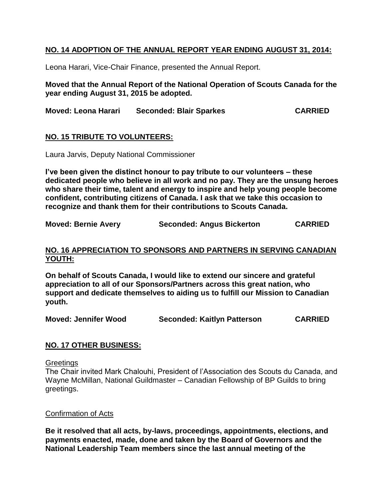## **NO. 14 ADOPTION OF THE ANNUAL REPORT YEAR ENDING AUGUST 31, 2014:**

Leona Harari, Vice-Chair Finance, presented the Annual Report.

**Moved that the Annual Report of the National Operation of Scouts Canada for the year ending August 31, 2015 be adopted.**

**Moved: Leona Harari Seconded: Blair Sparkes CARRIED**

#### **NO. 15 TRIBUTE TO VOLUNTEERS:**

Laura Jarvis, Deputy National Commissioner

**I've been given the distinct honour to pay tribute to our volunteers – these dedicated people who believe in all work and no pay. They are the unsung heroes who share their time, talent and energy to inspire and help young people become confident, contributing citizens of Canada. I ask that we take this occasion to recognize and thank them for their contributions to Scouts Canada.** 

**Moved: Bernie Avery Seconded: Angus Bickerton CARRIED**

#### **NO. 16 APPRECIATION TO SPONSORS AND PARTNERS IN SERVING CANADIAN YOUTH:**

**On behalf of Scouts Canada, I would like to extend our sincere and grateful appreciation to all of our Sponsors/Partners across this great nation, who support and dedicate themselves to aiding us to fulfill our Mission to Canadian youth.**

**Moved: Jennifer Wood Seconded: Kaitlyn Patterson CARRIED**

#### **NO. 17 OTHER BUSINESS:**

**Greetings** 

The Chair invited Mark Chalouhi, President of l'Association des Scouts du Canada, and Wayne McMillan, National Guildmaster – Canadian Fellowship of BP Guilds to bring greetings.

#### Confirmation of Acts

**Be it resolved that all acts, by-laws, proceedings, appointments, elections, and payments enacted, made, done and taken by the Board of Governors and the National Leadership Team members since the last annual meeting of the**